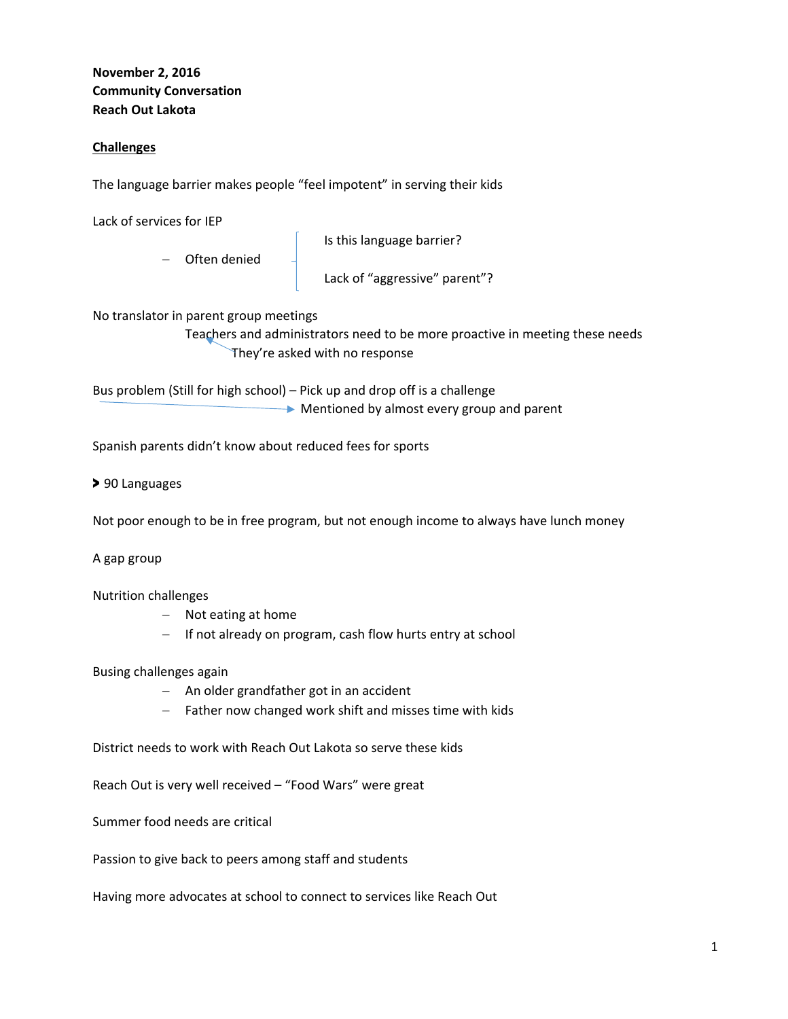# **November 2, 2016 Community Conversation Reach Out Lakota**

## **Challenges**

The language barrier makes people "feel impotent" in serving their kids

Lack of services for IEP

**Is this language barrier? Is this language barrier?** 

Lack of "aggressive" parent"?

No translator in parent group meetings

- Often denied

 Teachers and administrators need to be more proactive in meeting these needs They're asked with no response

Bus problem (Still for high school) – Pick up and drop off is a challenge Mentioned by almost every group and parent

Spanish parents didn't know about reduced fees for sports

> 90 Languages

Not poor enough to be in free program, but not enough income to always have lunch money

#### A gap group

Nutrition challenges

- Not eating at home
- If not already on program, cash flow hurts entry at school

#### Busing challenges again

- An older grandfather got in an accident
- $-$  Father now changed work shift and misses time with kids

District needs to work with Reach Out Lakota so serve these kids

Reach Out is very well received – "Food Wars" were great

Summer food needs are critical

Passion to give back to peers among staff and students

Having more advocates at school to connect to services like Reach Out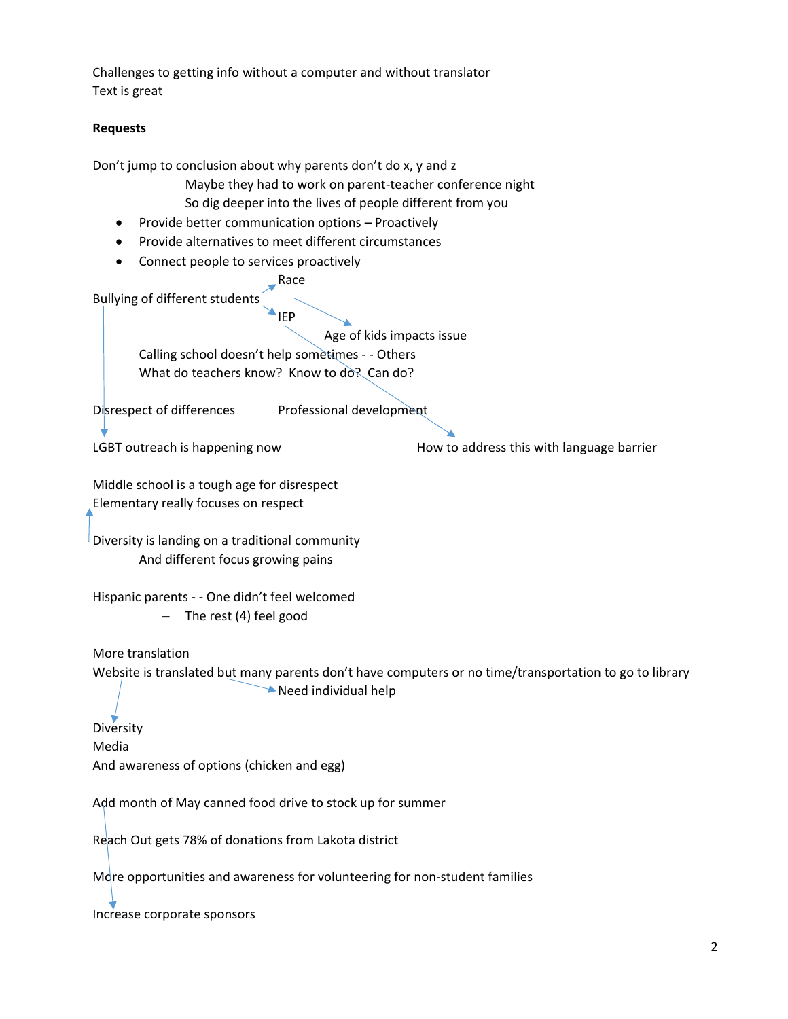Challenges to getting info without a computer and without translator Text is great

### **Requests**

Don't jump to conclusion about why parents don't do x, y and z Maybe they had to work on parent‐teacher conference night So dig deeper into the lives of people different from you • Provide better communication options - Proactively

- Provide alternatives to meet different circumstances
- Connect people to services proactively

**Race** 

Bullying of different students

**IEP** 

 Age of kids impacts issue Calling school doesn't help sometimes ‐ ‐ Others What do teachers know? Know to do? Can do?

Disrespect of differences Professional development

LGBT outreach is happening now **EXA CONG THE SET SET ASSESS** HOW to address this with language barrier

Middle school is a tough age for disrespect Elementary really focuses on respect

Diversity is landing on a traditional community And different focus growing pains

Hispanic parents ‐ ‐ One didn't feel welcomed - The rest (4) feel good

More translation

Website is translated but many parents don't have computers or no time/transportation to go to library Need individual help

**Diversity** Media And awareness of options (chicken and egg)

Add month of May canned food drive to stock up for summer

Reach Out gets 78% of donations from Lakota district

More opportunities and awareness for volunteering for non-student families

Increase corporate sponsors